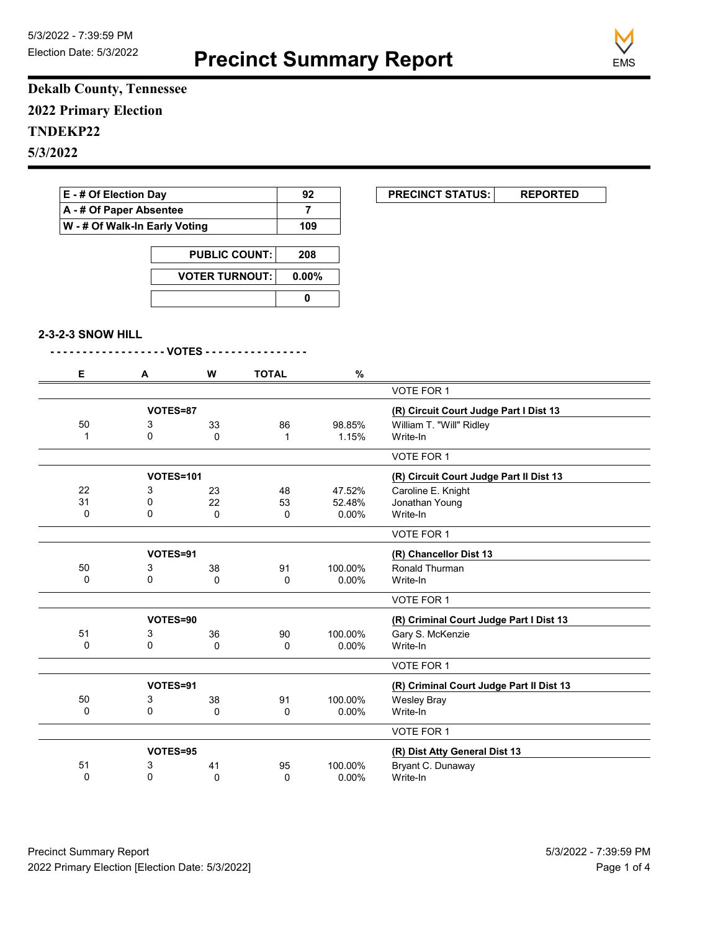

## **Dekalb County, Tennessee 2022 Primary Election TNDEKP22 5/3/2022**

| E - # Of Election Day                                    |                       |                      |              | 92             | <b>PRECINCT STATUS:</b><br><b>REPORTED</b> |
|----------------------------------------------------------|-----------------------|----------------------|--------------|----------------|--------------------------------------------|
| A - # Of Paper Absentee<br>W - # Of Walk-In Early Voting |                       |                      |              | $\overline{7}$ |                                            |
|                                                          |                       |                      |              | 109            |                                            |
|                                                          |                       | <b>PUBLIC COUNT:</b> | 208          |                |                                            |
|                                                          | <b>VOTER TURNOUT:</b> |                      |              | 0.00%          |                                            |
|                                                          |                       |                      | $\pmb{0}$    |                |                                            |
|                                                          |                       |                      |              |                |                                            |
| 2-3-2-3 SNOW HILL                                        |                       |                      |              |                |                                            |
|                                                          |                       | - VOTES - - -        |              |                |                                            |
| Е                                                        | A                     | W                    | <b>TOTAL</b> | $\%$           |                                            |
|                                                          |                       |                      |              |                | VOTE FOR 1                                 |
|                                                          | VOTES=87              |                      |              |                | (R) Circuit Court Judge Part I Dist 13     |
| 50                                                       | 3                     | 33                   | 86           | 98.85%         | William T. "Will" Ridley                   |
| $\mathbf{1}$                                             | 0                     | $\Omega$             | $\mathbf{1}$ | 1.15%          | Write-In                                   |
|                                                          |                       |                      |              |                | VOTE FOR 1                                 |
|                                                          |                       | VOTES=101            |              |                | (R) Circuit Court Judge Part II Dist 13    |
| 22                                                       | 3                     | 23                   | 48           | 47.52%         | Caroline E. Knight                         |
| 31                                                       | 0                     | 22                   | 53           | 52.48%         | Jonathan Young                             |
| $\Omega$                                                 | $\Omega$              | $\mathbf{0}$         | 0            | 0.00%          | Write-In                                   |
|                                                          |                       |                      |              |                | VOTE FOR 1                                 |
|                                                          | VOTES=91              |                      |              |                | (R) Chancellor Dist 13                     |
| 50                                                       | 3                     | 38                   | 91           | 100.00%        | Ronald Thurman                             |
| $\Omega$                                                 | $\mathbf 0$           | 0                    | 0            | 0.00%          | Write-In                                   |
|                                                          |                       |                      |              |                | <b>VOTE FOR 1</b>                          |
|                                                          | VOTES=90              |                      |              |                | (R) Criminal Court Judge Part I Dist 13    |
| 51                                                       | 3                     | 36                   | 90           | 100.00%        | Gary S. McKenzie                           |
| 0                                                        | $\mathbf 0$           | 0                    | 0            | $0.00\%$       | Write-In                                   |
|                                                          |                       |                      |              |                | VOTE FOR 1                                 |
|                                                          | VOTES=91              |                      |              |                | (R) Criminal Court Judge Part II Dist 13   |
| 50                                                       | 3                     | 38                   | 91           | 100.00%        | <b>Wesley Bray</b>                         |
|                                                          | 0                     |                      |              | $0.00\%$       |                                            |

|    |          | v  |    | <b>0.000</b> | $V \cup U = U$                |  |
|----|----------|----|----|--------------|-------------------------------|--|
|    |          |    |    |              | VOTE FOR 1                    |  |
|    | VOTES=95 |    |    |              | (R) Dist Atty General Dist 13 |  |
| 51 |          | 41 | 95 | 100.00%      | Bryant C. Dunaway             |  |
|    |          |    |    | $0.00\%$     | Write-In                      |  |
|    |          |    |    |              |                               |  |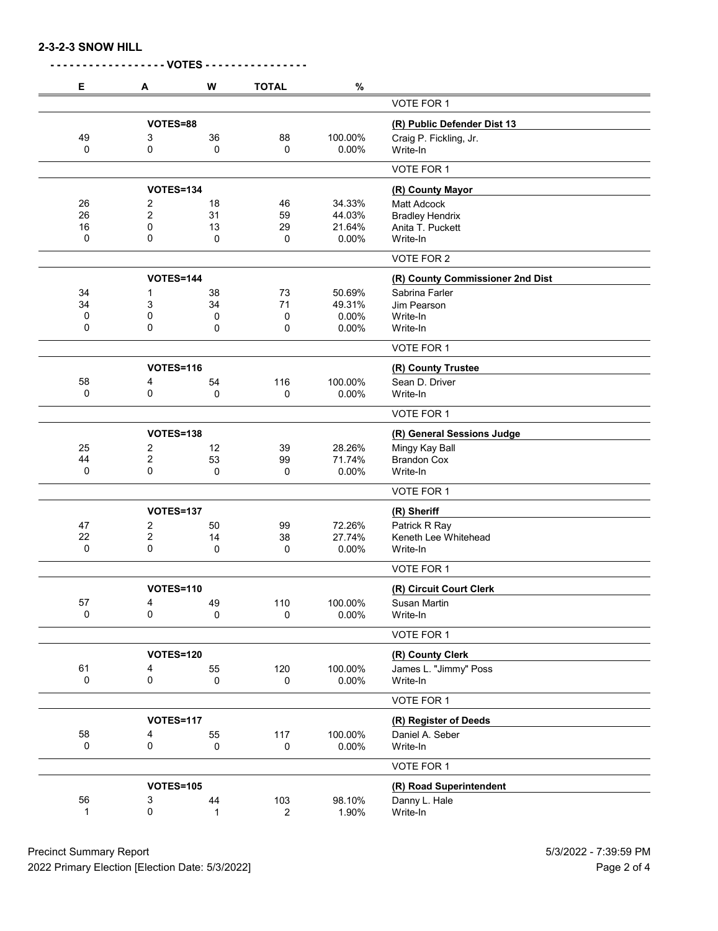**2-3-2-3 SNOW HILL**

| Е           | А                | W           | <b>TOTAL</b> | $\%$                        |                                  |
|-------------|------------------|-------------|--------------|-----------------------------|----------------------------------|
|             |                  |             |              |                             | VOTE FOR 1                       |
|             | VOTES=88         |             |              | (R) Public Defender Dist 13 |                                  |
| 49          | 3                | 36          | 88           | 100.00%                     | Craig P. Fickling, Jr.           |
| 0           | 0                | 0           | 0            | 0.00%                       | Write-In                         |
|             |                  |             |              |                             | VOTE FOR 1                       |
|             | <b>VOTES=134</b> |             |              |                             | (R) County Mayor                 |
| 26          | 2                | 18          | 46           | 34.33%                      | <b>Matt Adcock</b>               |
| 26          | $\overline{2}$   | 31          | 59           | 44.03%                      | <b>Bradley Hendrix</b>           |
| 16          | 0                | 13          | 29           | 21.64%                      | Anita T. Puckett                 |
| 0           | 0                | 0           | 0            | 0.00%                       | Write-In                         |
|             |                  |             |              |                             | VOTE FOR 2                       |
|             | <b>VOTES=144</b> |             |              |                             | (R) County Commissioner 2nd Dist |
| 34          | 1                | 38          | 73           | 50.69%                      | Sabrina Farler                   |
| 34          | 3                | 34          | 71           | 49.31%                      | Jim Pearson                      |
| 0           | 0                | 0           | 0            | 0.00%                       | Write-In                         |
| 0           | 0                | 0           | 0            | 0.00%                       | Write-In                         |
|             |                  |             |              |                             | VOTE FOR 1                       |
|             | <b>VOTES=116</b> |             |              |                             | (R) County Trustee               |
| 58          | 4                | 54          | 116          | 100.00%                     | Sean D. Driver                   |
| 0           | 0                | 0           | 0            | 0.00%                       | Write-In                         |
|             |                  |             |              |                             | VOTE FOR 1                       |
|             | <b>VOTES=138</b> |             |              |                             | (R) General Sessions Judge       |
| 25          | 2                | 12          | 39           | 28.26%                      | Mingy Kay Ball                   |
| 44          | 2                | 53          | 99           | 71.74%                      | <b>Brandon Cox</b>               |
| $\mathbf 0$ | $\mathbf 0$      | 0           | 0            | 0.00%                       | Write-In                         |
|             |                  |             |              |                             | VOTE FOR 1                       |
|             | <b>VOTES=137</b> |             |              |                             | (R) Sheriff                      |
| 47          | 2                | 50          | 99           | 72.26%                      | Patrick R Ray                    |
| 22          | 2                | 14          | 38           | 27.74%                      | Keneth Lee Whitehead             |
| 0           | $\mathbf 0$      | 0           | 0            | 0.00%                       | Write-In                         |
|             |                  |             |              |                             | VOTE FOR 1                       |
|             | <b>VOTES=110</b> |             |              |                             | (R) Circuit Court Clerk          |
| 57          | 4                | 49          | 110          | 100.00%                     | Susan Martin                     |
| 0           | 0                | 0           | 0            | $0.00\%$                    | Write-In                         |
|             |                  |             |              |                             | VOTE FOR 1                       |
|             | <b>VOTES=120</b> |             |              |                             | (R) County Clerk                 |
| 61          | 4                | 55          | 120          | 100.00%                     | James L. "Jimmy" Poss            |
| 0           | 0                | 0           | 0            | 0.00%                       | Write-In                         |
|             |                  |             |              |                             | VOTE FOR 1                       |
|             | <b>VOTES=117</b> |             |              |                             | (R) Register of Deeds            |
| 58          | 4                | 55          | 117          | 100.00%                     | Daniel A. Seber                  |
| 0           | $\mathsf 0$      | $\mathbf 0$ | 0            | 0.00%                       | Write-In                         |
|             |                  |             |              |                             | VOTE FOR 1                       |
|             |                  |             |              |                             |                                  |
| 56          | <b>VOTES=105</b> |             |              |                             | (R) Road Superintendent          |
| 1           | 3<br>0           | 44          | 103<br>2     | 98.10%<br>1.90%             | Danny L. Hale<br>Write-In        |
|             |                  | 1           |              |                             |                                  |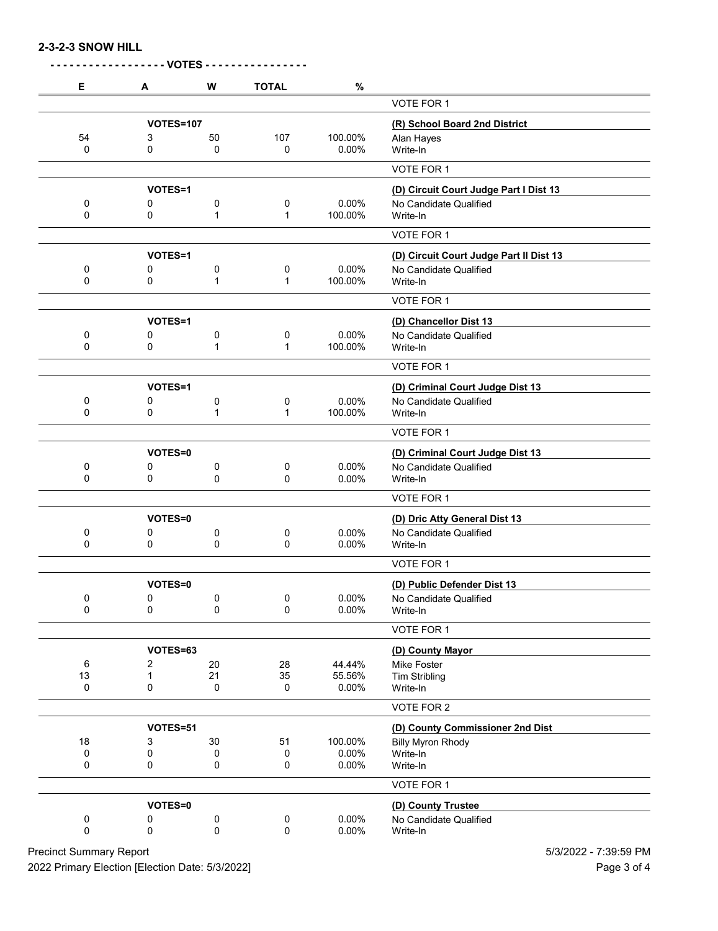**2-3-2-3 SNOW HILL**

| Е                | A                | W            | <b>TOTAL</b>      | $\%$             |                                              |
|------------------|------------------|--------------|-------------------|------------------|----------------------------------------------|
|                  |                  |              |                   |                  | VOTE FOR 1                                   |
| <b>VOTES=107</b> |                  |              |                   |                  | (R) School Board 2nd District                |
| 54               | 3                | 50           | 107               | 100.00%          | Alan Hayes                                   |
| 0                | 0                | 0            | 0                 | 0.00%            | Write-In                                     |
|                  |                  |              |                   |                  | VOTE FOR 1                                   |
|                  | VOTES=1          |              |                   |                  | (D) Circuit Court Judge Part I Dist 13       |
| 0                | 0                | 0            | 0                 | 0.00%            | No Candidate Qualified                       |
| 0                | 0                | 1            | 1                 | 100.00%          | Write-In                                     |
|                  |                  |              |                   |                  | VOTE FOR 1                                   |
|                  | VOTES=1          |              |                   |                  | (D) Circuit Court Judge Part II Dist 13      |
| 0                | 0                | 0            | 0                 | 0.00%            | No Candidate Qualified                       |
| 0                | 0                | $\mathbf{1}$ | $\mathbf{1}$      | 100.00%          | Write-In                                     |
|                  |                  |              |                   |                  | VOTE FOR 1                                   |
|                  | VOTES=1          |              |                   |                  | (D) Chancellor Dist 13                       |
| 0                | 0                | 0            | 0                 | 0.00%            | No Candidate Qualified                       |
| 0                | 0                | 1            | $\mathbf{1}$      | 100.00%          | Write-In                                     |
|                  |                  |              |                   |                  | VOTE FOR 1                                   |
|                  | VOTES=1          |              |                   |                  | (D) Criminal Court Judge Dist 13             |
| 0                | 0                | 0            | 0                 | 0.00%            | No Candidate Qualified                       |
| 0                | 0                | 1            | 1                 | 100.00%          | Write-In                                     |
|                  |                  |              |                   |                  | VOTE FOR 1                                   |
|                  | VOTES=0          |              |                   |                  | (D) Criminal Court Judge Dist 13             |
| 0                | 0                | 0            | 0                 | 0.00%            | No Candidate Qualified                       |
| 0                | 0                | 0            | 0                 | 0.00%            | Write-In                                     |
|                  |                  |              |                   |                  | VOTE FOR 1                                   |
|                  | VOTES=0          |              |                   |                  | (D) Dric Atty General Dist 13                |
| 0                | 0                | 0            | 0                 | 0.00%            | No Candidate Qualified                       |
| 0                | 0                | 0            | 0                 | 0.00%            | Write-In                                     |
|                  |                  |              |                   |                  | <b>VOTE FOR 1</b>                            |
|                  | VOTES=0          |              |                   |                  | (D) Public Defender Dist 13                  |
| 0                | 0                | 0            | 0                 | 0.00%            | No Candidate Qualified                       |
| 0                | 0                | 0            | 0                 | 0.00%            | Write-In                                     |
|                  |                  |              |                   |                  | VOTE FOR 1                                   |
|                  | VOTES=63         |              |                   |                  | (D) County Mayor                             |
| 6                | 2                | 20           | 28                | 44.44%           | Mike Foster                                  |
| 13<br>0          | $\mathbf 1$<br>0 | 21           | 35<br>$\mathbf 0$ | 55.56%           | <b>Tim Stribling</b><br>Write-In             |
|                  |                  | 0            |                   | 0.00%            |                                              |
|                  |                  |              |                   |                  | VOTE FOR 2                                   |
|                  | VOTES=51         |              |                   |                  | (D) County Commissioner 2nd Dist             |
| 18<br>0          | 3<br>0           | 30           | 51                | 100.00%<br>0.00% | <b>Billy Myron Rhody</b><br>Write-In         |
| 0                | 0                | 0<br>0       | 0<br>0            | 0.00%            | Write-In                                     |
|                  |                  |              |                   |                  | VOTE FOR 1                                   |
|                  |                  |              |                   |                  |                                              |
|                  |                  |              |                   |                  |                                              |
| 0                | VOTES=0<br>0     | 0            | 0                 | 0.00%            | (D) County Trustee<br>No Candidate Qualified |